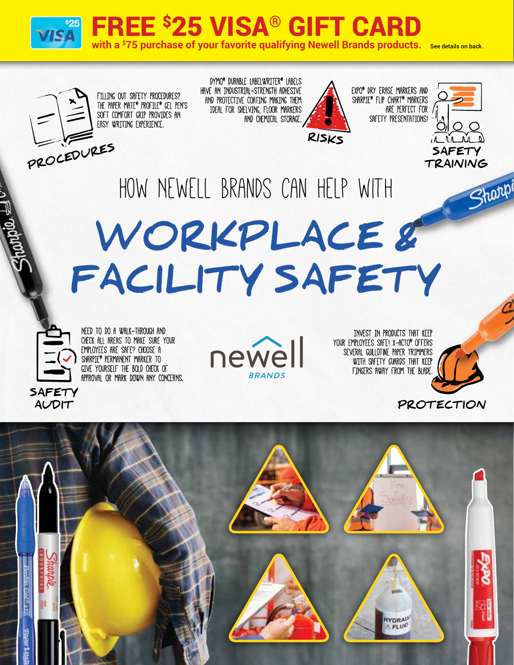